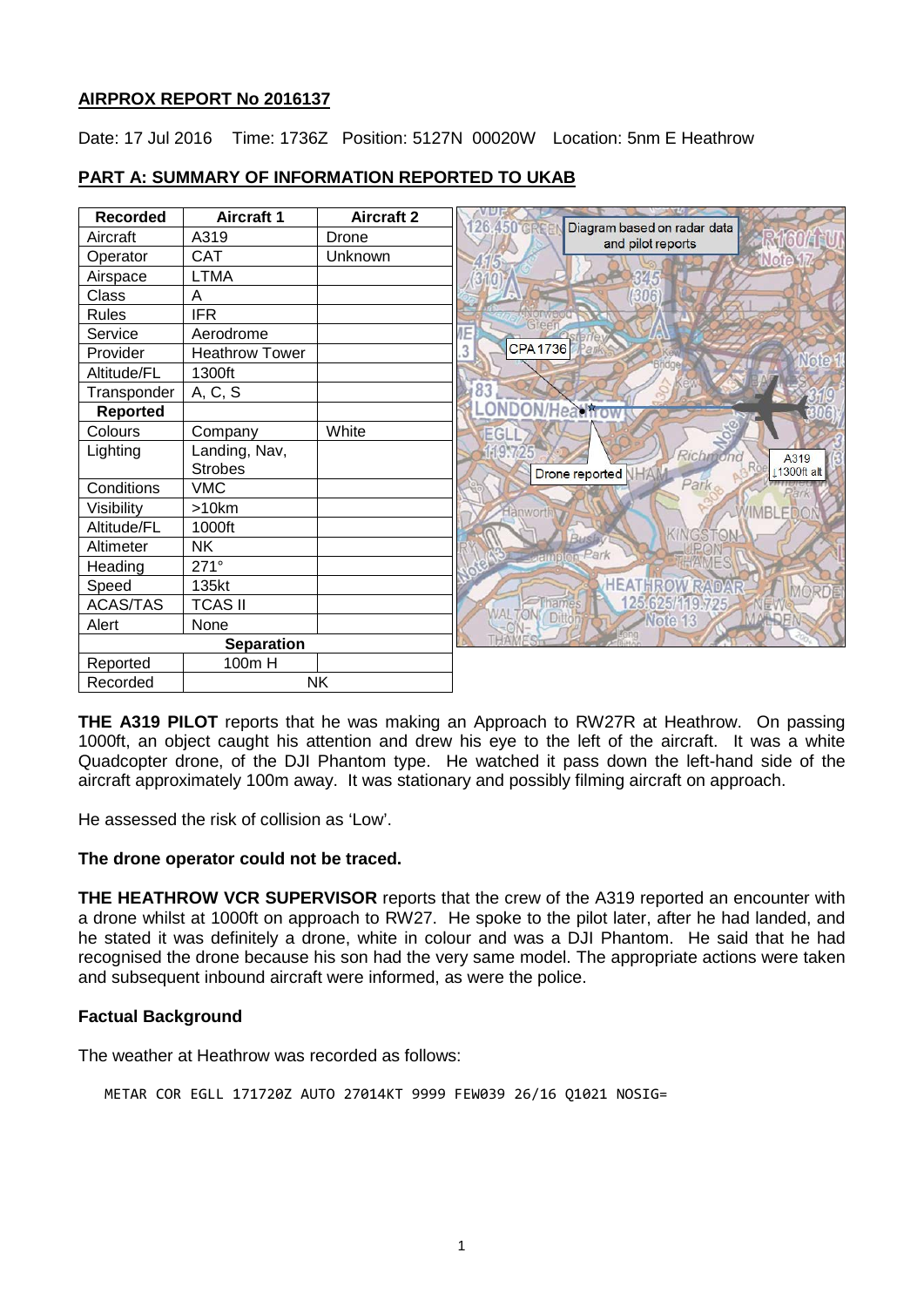## **AIRPROX REPORT No 2016137**

Date: 17 Jul 2016 Time: 1736Z Position: 5127N 00020W Location: 5nm E Heathrow

| <b>Recorded</b>   | <b>Aircraft 1</b>     | <b>Aircraft 2</b> | 126.450 GREEN                                    |
|-------------------|-----------------------|-------------------|--------------------------------------------------|
| Aircraft          | A319                  | Drone             | Diagram based on radar data<br>and pilot reports |
| Operator          | <b>CAT</b>            | Unknown           |                                                  |
| Airspace          | <b>LTMA</b>           |                   |                                                  |
| <b>Class</b>      | A                     |                   |                                                  |
| <b>Rules</b>      | <b>IFR</b>            |                   |                                                  |
| Service           | Aerodrome             |                   | E                                                |
| Provider          | <b>Heathrow Tower</b> |                   | CPA 1736<br>Park                                 |
| Altitude/FL       | 1300ft                |                   |                                                  |
| Transponder       | A, C, S               |                   | 483                                              |
| Reported          |                       |                   | <b>ONDON/Heathro</b>                             |
| Colours           | Company               | White             | EGL                                              |
| Lighting          | Landing, Nav,         |                   | 119.725<br>Richa                                 |
|                   | <b>Strobes</b>        |                   | Drone reported VHAM                              |
| Conditions        | <b>VMC</b>            |                   | Park                                             |
| Visibility        | >10km                 |                   | Hanworth                                         |
| Altitude/FL       | 1000ft                |                   | KINGSTON                                         |
| Altimeter         | <b>NK</b>             |                   | <b>Security of Park</b>                          |
| Heading           | $271^\circ$           |                   |                                                  |
| Speed             | 135kt                 |                   | <b>HEATHROW RADAR</b>                            |
| <b>ACAS/TAS</b>   | <b>TCAS II</b>        |                   | 125 625/<br>110<br>Thames<br><b>NALTON</b>       |
| Alert             | None                  |                   | Ditton<br>Note 13                                |
| <b>Separation</b> |                       |                   |                                                  |
| Reported          | 100m H                |                   |                                                  |
| Recorded          |                       | <b>NK</b>         |                                                  |

# **PART A: SUMMARY OF INFORMATION REPORTED TO UKAB**

**THE A319 PILOT** reports that he was making an Approach to RW27R at Heathrow. On passing 1000ft, an object caught his attention and drew his eye to the left of the aircraft. It was a white Quadcopter drone, of the DJI Phantom type. He watched it pass down the left-hand side of the aircraft approximately 100m away. It was stationary and possibly filming aircraft on approach.

He assessed the risk of collision as 'Low'.

## **The drone operator could not be traced.**

**THE HEATHROW VCR SUPERVISOR** reports that the crew of the A319 reported an encounter with a drone whilst at 1000ft on approach to RW27. He spoke to the pilot later, after he had landed, and he stated it was definitely a drone, white in colour and was a DJI Phantom. He said that he had recognised the drone because his son had the very same model. The appropriate actions were taken and subsequent inbound aircraft were informed, as were the police.

## **Factual Background**

The weather at Heathrow was recorded as follows:

METAR COR EGLL 171720Z AUTO 27014KT 9999 FEW039 26/16 Q1021 NOSIG=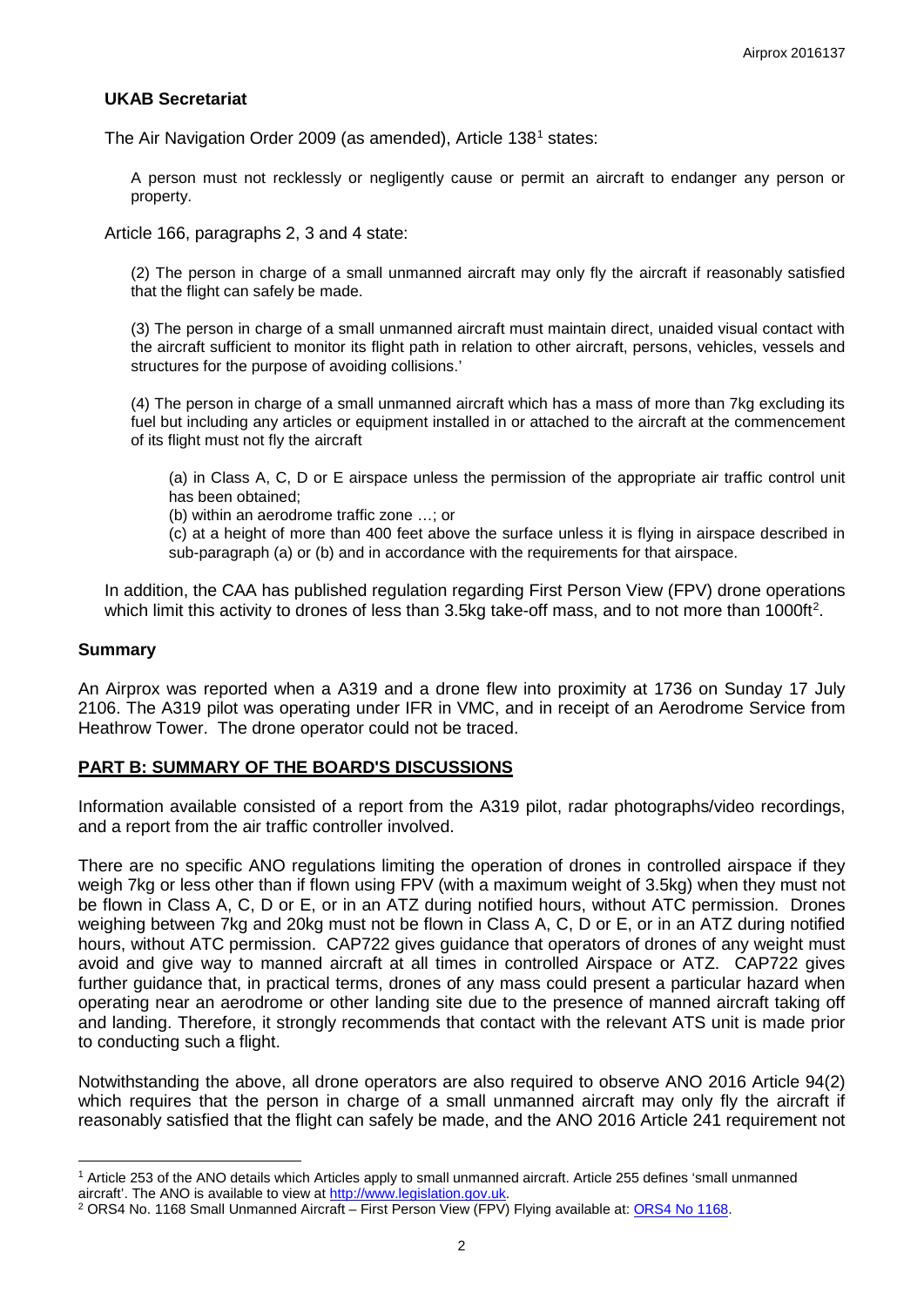### **UKAB Secretariat**

The Air Navigation Order 2009 (as amended), Article [1](#page-1-0)38<sup>1</sup> states:

A person must not recklessly or negligently cause or permit an aircraft to endanger any person or property.

Article 166, paragraphs 2, 3 and 4 state:

(2) The person in charge of a small unmanned aircraft may only fly the aircraft if reasonably satisfied that the flight can safely be made.

(3) The person in charge of a small unmanned aircraft must maintain direct, unaided visual contact with the aircraft sufficient to monitor its flight path in relation to other aircraft, persons, vehicles, vessels and structures for the purpose of avoiding collisions.'

(4) The person in charge of a small unmanned aircraft which has a mass of more than 7kg excluding its fuel but including any articles or equipment installed in or attached to the aircraft at the commencement of its flight must not fly the aircraft

(a) in Class A, C, D or E airspace unless the permission of the appropriate air traffic control unit has been obtained;

(b) within an aerodrome traffic zone …; or

(c) at a height of more than 400 feet above the surface unless it is flying in airspace described in sub-paragraph (a) or (b) and in accordance with the requirements for that airspace.

In addition, the CAA has published regulation regarding First Person View (FPV) drone operations which limit this activity to drones of less than 3.5kg take-off mass, and to not more than 1000ft<sup>[2](#page-1-1)</sup>.

#### **Summary**

 $\overline{\phantom{a}}$ 

An Airprox was reported when a A319 and a drone flew into proximity at 1736 on Sunday 17 July 2106. The A319 pilot was operating under IFR in VMC, and in receipt of an Aerodrome Service from Heathrow Tower. The drone operator could not be traced.

## **PART B: SUMMARY OF THE BOARD'S DISCUSSIONS**

Information available consisted of a report from the A319 pilot, radar photographs/video recordings, and a report from the air traffic controller involved.

There are no specific ANO regulations limiting the operation of drones in controlled airspace if they weigh 7kg or less other than if flown using FPV (with a maximum weight of 3.5kg) when they must not be flown in Class A, C, D or E, or in an ATZ during notified hours, without ATC permission. Drones weighing between 7kg and 20kg must not be flown in Class A, C, D or E, or in an ATZ during notified hours, without ATC permission. CAP722 gives guidance that operators of drones of any weight must avoid and give way to manned aircraft at all times in controlled Airspace or ATZ. CAP722 gives further guidance that, in practical terms, drones of any mass could present a particular hazard when operating near an aerodrome or other landing site due to the presence of manned aircraft taking off and landing. Therefore, it strongly recommends that contact with the relevant ATS unit is made prior to conducting such a flight.

Notwithstanding the above, all drone operators are also required to observe ANO 2016 Article 94(2) which requires that the person in charge of a small unmanned aircraft may only fly the aircraft if reasonably satisfied that the flight can safely be made, and the ANO 2016 Article 241 requirement not

<span id="page-1-0"></span><sup>&</sup>lt;sup>1</sup> Article 253 of the ANO details which Articles apply to small unmanned aircraft. Article 255 defines 'small unmanned aircraft'. The ANO is available to view at http://www.legislation.gov.uk.

<span id="page-1-1"></span><sup>&</sup>lt;sup>2</sup> ORS4 No. 1168 Small Unmanned Aircraft – First Person View (FPV) Flying available at: ORS4 No 1168.